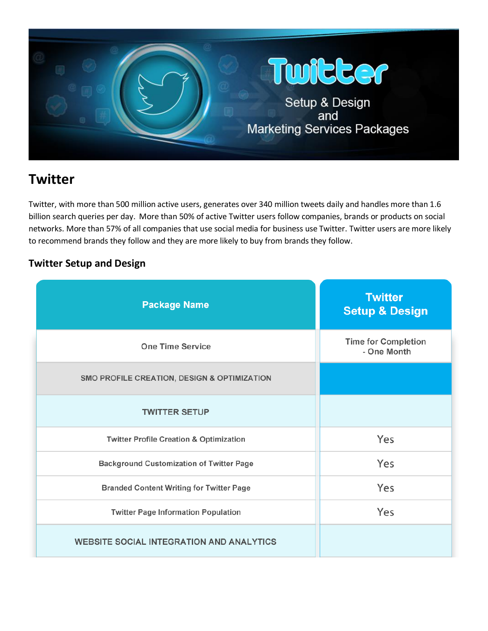

# **Twitter**

Twitter, with more than 500 million active users, generates over 340 million tweets daily and handles more than 1.6 billion search queries per day. More than 50% of active Twitter users follow companies, brands or products on social networks. More than 57% of all companies that use social media for business use Twitter. Twitter users are more likely to recommend brands they follow and they are more likely to buy from brands they follow.

## **Twitter Setup and Design**

| <b>Package Name</b>                                | <b>Twitter</b><br><b>Setup &amp; Design</b> |
|----------------------------------------------------|---------------------------------------------|
| <b>One Time Service</b>                            | <b>Time for Completion</b><br>- One Month   |
| SMO PROFILE CREATION, DESIGN & OPTIMIZATION        |                                             |
| <b>TWITTER SETUP</b>                               |                                             |
| <b>Twitter Profile Creation &amp; Optimization</b> | Yes                                         |
| <b>Background Customization of Twitter Page</b>    | Yes                                         |
| <b>Branded Content Writing for Twitter Page</b>    | Yes                                         |
| <b>Twitter Page Information Population</b>         | Yes                                         |
| <b>WEBSITE SOCIAL INTEGRATION AND ANALYTICS</b>    |                                             |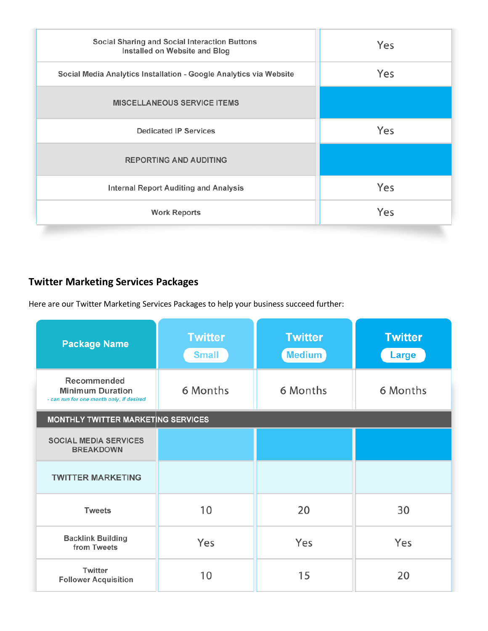| Social Sharing and Social Interaction Buttons<br>Installed on Website and Blog | Yes |
|--------------------------------------------------------------------------------|-----|
| Social Media Analytics Installation - Google Analytics via Website             | Yes |
| <b>MISCELLANEOUS SERVICE ITEMS</b>                                             |     |
| <b>Dedicated IP Services</b>                                                   | Yes |
| <b>REPORTING AND AUDITING</b>                                                  |     |
| <b>Internal Report Auditing and Analysis</b>                                   | Yes |
| <b>Work Reports</b>                                                            | Yes |
|                                                                                |     |

## **Twitter Marketing Services Packages**

Here are our Twitter Marketing Services Packages to help your business succeed further:

| <b>Package Name</b>                                                                | <b>Twitter</b><br><b>Small</b> | <b>Twitter</b><br><b>Medium</b> | <b>Twitter</b><br>Large |  |
|------------------------------------------------------------------------------------|--------------------------------|---------------------------------|-------------------------|--|
| Recommended<br><b>Minimum Duration</b><br>- can run for one month only, if desired | 6 Months                       | 6 Months                        | 6 Months                |  |
| <b>MONTHLY TWITTER MARKETING SERVICES</b>                                          |                                |                                 |                         |  |
| <b>SOCIAL MEDIA SERVICES</b><br><b>BREAKDOWN</b>                                   |                                |                                 |                         |  |
| <b>TWITTER MARKETING</b>                                                           |                                |                                 |                         |  |
| <b>Tweets</b>                                                                      | 10                             | 20                              | 30                      |  |
| <b>Backlink Building</b><br>from Tweets                                            | Yes                            | Yes                             | Yes                     |  |
| Twitter<br><b>Follower Acquisition</b>                                             | 10                             | 15                              | 20                      |  |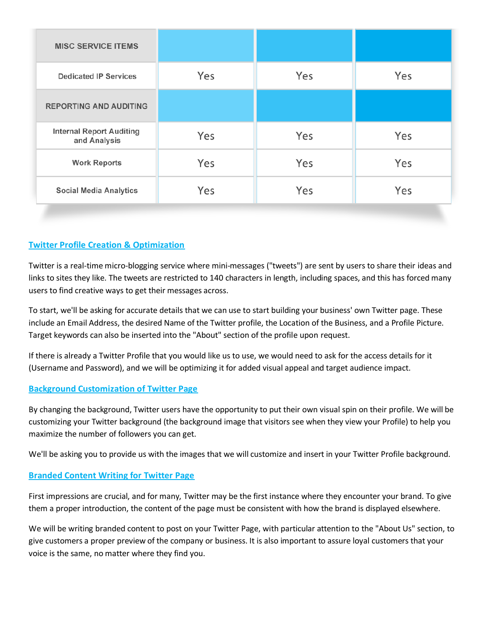| <b>MISC SERVICE ITEMS</b>                       |     |     |     |
|-------------------------------------------------|-----|-----|-----|
| <b>Dedicated IP Services</b>                    | Yes | Yes | Yes |
| <b>REPORTING AND AUDITING</b>                   |     |     |     |
| <b>Internal Report Auditing</b><br>and Analysis | Yes | Yes | Yes |
| <b>Work Reports</b>                             | Yes | Yes | Yes |
| <b>Social Media Analytics</b>                   | Yes | Yes | Yes |

## **Twitter Profile Creation & Optimization**

Twitter is a real-time micro-blogging service where mini-messages ("tweets") are sent by users to share their ideas and links to sites they like. The tweets are restricted to 140 characters in length, including spaces, and this has forced many users to find creative ways to get their messages across.

To start, we'll be asking for accurate details that we can use to start building your business' own Twitter page. These include an Email Address, the desired Name of the Twitter profile, the Location of the Business, and a Profile Picture. Target keywords can also be inserted into the "About" section of the profile upon request.

If there is already a Twitter Profile that you would like us to use, we would need to ask for the access details for it (Username and Password), and we will be optimizing it for added visual appeal and target audience impact.

## **Background Customization of Twitter Page**

By changing the background, Twitter users have the opportunity to put their own visual spin on their profile. We will be customizing your Twitter background (the background image that visitors see when they view your Profile) to help you maximize the number of followers you can get.

We'll be asking you to provide us with the images that we will customize and insert in your Twitter Profile background.

## **Branded Content Writing for Twitter Page**

First impressions are crucial, and for many, Twitter may be the first instance where they encounter your brand. To give them a proper introduction, the content of the page must be consistent with how the brand is displayed elsewhere.

We will be writing branded content to post on your Twitter Page, with particular attention to the "About Us" section, to give customers a proper preview of the company or business. It is also important to assure loyal customers that your voice is the same, no matter where they find you.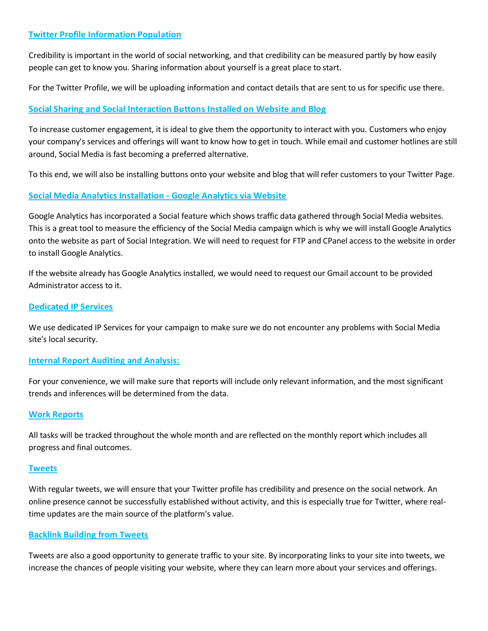## **Twitter Profile Information Population**

Credibility is important in the world of social networking, and that credibility can be measured partly by how easily people can get to know you. Sharing information about yourself is a great place to start.

For the Twitter Profile, we will be uploading information and contact details that are sent to us for specific use there.

## **Social Sharing and Social Interaction Buttons Installed on Website and Blog**

To increase customer engagement, it is ideal to give them the opportunity to interact with you. Customers who enjoy your company's services and offerings will want to know how to get in touch. While email and customer hotlines are still around, Social Media is fast becoming a preferred alternative.

To this end, we will also be installing buttons onto your website and blog that will refer customers to your Twitter Page.

## **Social Media Analytics Installation - Google Analytics via Website**

Google Analytics has incorporated a Social feature which shows traffic data gathered through Social Media websites. This is a great tool to measure the efficiency of the Social Media campaign which is why we will install Google Analytics onto the website as part of Social Integration. We will need to request for FTP and CPanel access to the website in order to install Google Analytics.

If the website already has Google Analytics installed, we would need to request our Gmail account to be provided Administrator access to it.

#### **Dedicated IP Services**

We use dedicated IP Services for your campaign to make sure we do not encounter any problems with Social Media site's local security.

## **Internal Report Auditing and Analysis:**

For your convenience, we will make sure that reports will include only relevant information, and the most significant trends and inferences will be determined from the data.

#### **Work Reports**

All tasks will be tracked throughout the whole month and are reflected on the monthly report which includes all progress and final outcomes.

#### **Tweets**

With regular tweets, we will ensure that your Twitter profile has credibility and presence on the social network. An online presence cannot be successfully established without activity, and this is especially true for Twitter, where realtime updates are the main source of the platform's value.

#### **Backlink Building from Tweets**

Tweets are also a good opportunity to generate traffic to your site. By incorporating links to your site into tweets, we increase the chances of people visiting your website, where they can learn more about your services and offerings.